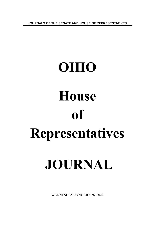**JOURNALS OF THE SENATE AND HOUSE OF REPRESENTATIVES**

# **OHIO House of Representatives JOURNAL**

WEDNESDAY, JANUARY 26, 2022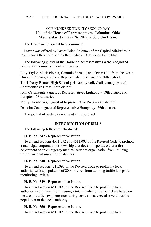# ONE HUNDRED TWENTY-SECOND DAY Hall of the House of Representatives, Columbus, Ohio **Wednesday, January 26, 2022, 9:00 o'clock a.m.**

The House met pursuant to adjournment.

Prayer was offered by Pastor Brian Solomon of the Capitol Ministries in Columbus, Ohio, followed by the Pledge of Allegiance to the Flag.

The following guests of the House of Representatives were recognized prior to the commencement of business:

Lilly Taylor, Mack Plotner, Cammie Shenkle, and Owen Hall from the North Union FFA team; guests of Representative Richardson- 86th district.

The Liberty-Benton High School girls varsity volleyball team, guests of Representative Cross- 83rd district.

John Cavanaugh, a guest of Representatives Lightbody- 19th district and Lampton- 73rd district.

Molly Hornberger, a guest of Representative Russo- 24th district.

Daizohn Cox, a guest of Representative Humphrey- 26th district.

The journal of yesterday was read and approved.

# **INTRODUCTION OF BILLS**

The following bills were introduced:

**H. B. No. 547 -** Representative Patton.

To amend sections 4511.092 and 4511.093 of the Revised Code to prohibit a municipal corporation or township that does not operate either a fire department or an emergency medical services organization from utilizing traffic law photo-monitoring devices.

**H. B. No. 548 -** Representative Patton.

To amend section 4511.093 of the Revised Code to prohibit a local authority with a population of 200 or fewer from utilizing traffic law photomonitoring devices.

**H. B. No. 549 -** Representative Patton.

To amend section 4511.093 of the Revised Code to prohibit a local authority, in any year, from issuing a total number of traffic tickets based on the use of traffic law photo-monitoring devices that exceeds two times the population of the local authority.

**H. B. No. 550 -** Representative Patton.

To amend section 4511.093 of the Revised Code to prohibit a local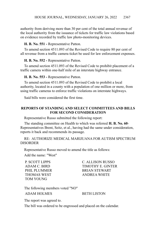authority from deriving more than 30 per cent of the total annual revenue of the local authority from the issuance of tickets for traffic law violations based on evidence recorded by traffic law photo-monitoring devices.

# **H. B. No. 551 -** Representative Patton.

To amend section 4511.093 of the Revised Code to require 80 per cent of all revenue from a traffic camera ticket be used for law enforcement expenses.

**H. B. No. 552 -** Representative Patton.

To amend section 4511.093 of the Revised Code to prohibit placement of a traffic camera within one-half mile of an interstate highway entrance.

**H. B. No. 553 -** Representative Patton.

To amend section 4511.093 of the Revised Code to prohibit a local authority, located in a county with a population of one million or more, from using traffic cameras to enforce traffic violations on interstate highways.

Said bills were considered the first time.

# **REPORTS OF STANDING AND SELECT COMMITTEES AND BILLS FOR SECOND CONSIDERATION**

Representative Russo submitted the following report:

The standing committee on Health to which was referred **H. B. No. 60**- Representatives Brent, Seitz, et al., having had the same under consideration, reports it back and recommends its passage.

RE: AUTHORIZE MEDICAL MARIJUANA FOR AUTISM SPECTRUM DISORDER

Representative Russo moved to amend the title as follows:

Add the name: "West"

TOM YOUNG

P. SCOTT LIPPS C. ALLISON RUSSO ADAM C. BIRD TIMOTHY E. GINTER PHIL PLUMMER BRIAN STEWART THOMAS WEST ANDREA WHITE

The following members voted "NO"

ADAM HOLMES BETH LISTON

The report was agreed to.

The bill was ordered to be engrossed and placed on the calendar.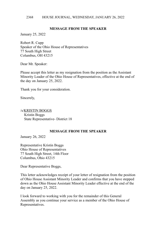# **MESSAGE FROM THE SPEAKER**

January 25, 2022

Robert R. Cupp Speaker of the Ohio House of Representatives 77 South High Street Columbus, OH 43215

Dear Mr. Speaker:

Please accept this letter as my resignation from the position as the Assistant Minority Leader of the Ohio House of Representatives, effective at the end of the day on January 25, 2022.

Thank you for your consideration.

Sincerely,

/s/KRISTIN BOGGS Kristin Boggs State Representative- District 18

# **MESSAGE FROM THE SPEAKER**

January 26, 2022

Representative Kristin Boggs Ohio House of Representatives 77 South High Street, 14th Floor Columbus, Ohio 43215

Dear Representative Boggs,

This letter acknowledges receipt of your letter of resignation from the position of Ohio House Assistant Minority Leader and confirms that you have stepped down as the Ohio House Assistant Minority Leader effective at the end of the day on January 25, 2022.

I look forward to working with you for the remainder of this General Assembly as you continue your service as a member of the Ohio House of Representatives.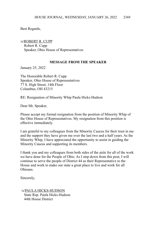Best Regards,

/s/ROBERT R. CUPP Robert R. Cupp Speaker, Ohio House of Representatives

# **MESSAGE FROM THE SPEAKER**

January 25, 2022

The Honorable Robert R. Cupp Speaker, Ohio House of Representatives 77 S. High Street, 14th Floor Columbus, OH 43215

RE: Resignation of Minority Whip Paula Hicks-Hudson

Dear Mr. Speaker,

Please accept my formal resignation from the position of Minority Whip of the Ohio House of Representatives. My resignation from this position is effective immediately.

I am grateful to my colleagues from the Minority Caucus for their trust in me and the support they have given me over the last two and a half years. As the Minority Whip, I have appreciated the opportunity to assist in guiding the Minority Caucus and supporting its members.

I thank you and my colleagues from both sides of the aisle for all of the work we have done for the People of Ohio. As I step down from this post, I will continue to serve the people of District 44 as their Representative to the House and work to make our state a great place to live and work for all Ohioans.

Sincerely,

 /s/PAULA HICKS-HUDSON State Rep. Paula Hicks-Hudson 44th House District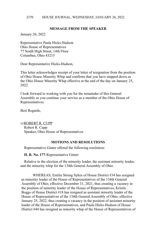# **MESSAGE FROM THE SPEAKER**

January 26, 2022

Representative Paula Hicks-Hudson Ohio House of Representatives 77 South High Street, 14th Floor Columbus, Ohio 43215

Dear Representative Hicks-Hudson,

This letter acknowledges receipt of your letter of resignation from the position of Ohio House Minority Whip and confirms that you have stepped down as the Ohio House Minority Whip effective at the end of the day on January 25,  $2022$ 

I look forward to working with you for the remainder of this General Assembly as you continue your service as a member of the Ohio House of Representatives.

Best Regards,

/s/ROBERT R. CUPP Robert R. Cupp Speaker, Ohio House of Representatives

## **MOTIONS AND RESOLUTIONS**

Representative Ginter offered the following resolution:

**H. R. No. 177**-Representative Ginter

Relative to the election of the minority leader, the assistant minority leader, and the minority whip for the 134th General Assembly of Ohio.

WHEREAS, Emilia Strong Sykes of House District #34 has resigned as minority leader of the House of Representatives of the 134th General Assembly of Ohio, effective December 31, 2021, thus creating a vacancy in the position of minority leader of the House of Representatives, Kristin Boggs of House District #18 has resigned as assistant minority leader of the House of Representatives of the 134th General Assembly of Ohio, effective January 25, 2022, thus creating a vacancy in the position of assistant minority leader of the House of Representatives, and Paula Hicks-Hudson of House District #44 has resigned as minority whip of the House of Representatives of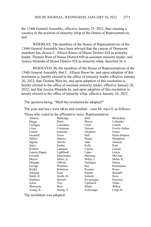the 134th General Assembly, effective January 25, 2022, thus creating a vacancy in the position of minority whip of the House of Representatives; and

WHEREAS, The members of the House of Representatives of the 134th General Assembly have been advised that the caucus of Democrat members has chosen C. Allison Russo of House District #24 as minority leader, Thomas West of House District #49 as assistant minority leader, and Jessica Miranda of House District #28 as minority whip; therefore be it

RESOLVED, By the members of the House of Representatives of the 134th General Assembly that C. Allison Russo be, and upon adoption of this resolution is, hereby elected to the office of minority leader, effective January 26, 2022; that Thomas West be, and upon adoption of this resolution is, hereby elected to the office of assistant minority leader, effective January 26, 2022; and that Jessica Miranda be, and upon adoption of this resolution is, hereby elected to the office of minority whip, effective January 26, 2022.

The question being, "Shall the resolution be adopted?"

The yeas and nays were taken and resulted – yeas 88, nays 0, as follows:

|                 |              | Those who voted in the affirmative were: Representatives |                      |
|-----------------|--------------|----------------------------------------------------------|----------------------|
| Abrams          | Baldridge    | Bird                                                     | Blackshear           |
| Boggs           | <b>Brent</b> | <b>Brown</b>                                             | Callender            |
| Carfagna        | Carruthers   | Click                                                    | Creech               |
| Cross           | Crossman     | Denson                                                   | <b>Fowler Arthur</b> |
| Fraizer         | Galonski     | Ghanbari                                                 | Ginter               |
| Grendell        | Gross        | Hall                                                     | Hicks-Hudson         |
| Hillyer         | Holmes       | Hoops                                                    | Humphrey             |
| Ingram          | Jarrells     | John                                                     | Johnson              |
| Jones           | Jordan       | Kelly                                                    | Kick                 |
| Koehler         | Lampton      | Lanese                                                   | Leland               |
| Lepore-Hagan    | Lightbody    | Lipps                                                    | Liston               |
| Loychik         | Manchester   | Manning                                                  | McClain              |
| Merrin          | Miller, A.   | Miller, J.                                               | Miller, K.           |
| Miranda         | O'Brien      | Oelslager                                                | Patton               |
| Pavliga         | Plummer      | Ray                                                      | Richardson           |
| Riedel          | Robinson     | Roemer                                                   | Russo                |
| Schmidt         | Seitz        | Sheehy                                                   | Skindell             |
| Smith, K.       | Smith, M.    | Sobecki                                                  | Stein                |
| <b>Stephens</b> | Stewart      | Swearingen                                               | Sweeney              |
| Sykes           | Troy         | Upchurch                                                 | Vitale               |
| Weinstein       | West         | White                                                    | Wilkin               |
| Young, B.       | Young, T.    | Zeltwanger                                               | Cupp-88              |

The resolution was adopted.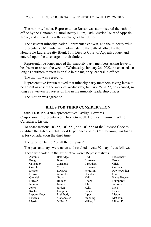The minority leader, Representative Russo, was administered the oath of office by the Honorable Laurel Beatty Blunt, 10th District Court of Appeals Judge, and entered upon the discharge of her duties.

The assistant minority leader, Representative West, and the minority whip, Representative Miranda, were administered the oath of office by the Honorable Laurel Beatty Blunt, 10th District Court of Appeals Judge, and entered upon the discharge of their duties.

Representative Jones moved that majority party members asking leave to be absent or absent the week of Wednesday, January 26, 2022, be excused, so long as a written request is on file in the majority leadership offices.

The motion was agreed to.

Representative Brown moved that minority party members asking leave to be absent or absent the week of Wednesday, January 26, 2022, be excused, so long as a written request is on file in the minority leadership offices.

The motion was agreed to.

## **BILLS FOR THIRD CONSIDERATION**

**Sub. H. B. No. 428**-Representatives Pavliga, Edwards. Cosponsors: Representatives Click, Grendell, Holmes, Plummer, White, Carruthers, Liston.

To enact sections 103.55, 103.551, and 103.552 of the Revised Code to establish the Adverse Childhood Experiences Study Commission, was taken up for consideration the third time.

The question being, "Shall the bill pass?"

The yeas and nays were taken and resulted – yeas 92, nays 1, as follows:

Those who voted in the affirmative were: Representatives

| Abrams       | Baldridge  | Bird            | <b>Blackshear</b> |
|--------------|------------|-----------------|-------------------|
| Boggs        | Brent      | <b>Brinkman</b> | <b>Brown</b>      |
| Callender    | Carfagna   | Carruthers      | Click             |
| Creech       | Cross      | Crossman        | Cutrona           |
| Denson       | Edwards    | Ferguson        | Fowler Arthur     |
| Fraizer      | Galonski   | Ghanbari        | Ginter            |
| Grendell     | Gross      | Hall            | Hicks-Hudson      |
| Hillyer      | Holmes     | Hoops           | Humphrey          |
| Ingram       | Jarrells   | John            | Johnson           |
| Jones        | Jordan     | Kelly           | Kick              |
| Koehler      | Lampton    | Lanese          | Leland            |
| Lepore-Hagan | Lightbody  | Lipps           | Liston            |
| Loychik      | Manchester | Manning         | McClain           |
| Merrin       | Miller, A. | Miller, J.      | Miller, K.        |
|              |            |                 |                   |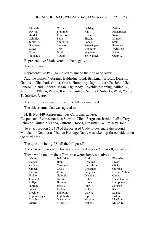| Miranda         | O'Brien   | Oelslager  | Patton       |
|-----------------|-----------|------------|--------------|
| Pavliga         | Plummer   | Ray        | Richardson   |
| Riedel          | Robinson  | Roemer     | Russo        |
| Schmidt         | Seitz     | Sheehy     | Skindell     |
| Smith, K.       | Smith, M. | Sobecki    | <b>Stein</b> |
| <b>Stephens</b> | Stewart   | Swearingen | Sweeney      |
| Sykes           | Troy      | Upchurch   | Weinstein    |
| West            | White     | Wiggam     | Wilkin       |
| Young, B.       | Young, T. | Zeltwanger | $Cupp-92$    |

Representative Vitale voted in the negative-1.

The bill passed.

Representative Pavliga moved to amend the title as follows:

Add the names: "Abrams, Baldridge, Bird, Brinkman, Brown, Denson, Galonski, Ghanbari, Ginter, Gross, Humphrey, Ingram, Jarrells, John, Kick, Lanese, Leland, Lepore-Hagan, Lightbody, Loychik, Manning, Miller, A., Miller, J., O'Brien, Patton, Ray, Richardson, Schmidt, Sobecki, West, Young, T., Speaker Cupp."

The motion was agreed to and the title so amended.

The title as amended was agreed to.

**H. B. No. 449**-Representatives Carfagna, Lanese. Cosponsors: Representatives Stewart, Click, Ferguson, Riedel, LaRe, Troy, Schmidt, Ginter, Miranda, Cutrona, Hoops, Crossman, White, Ray, John.

To enact section 5.2318 of the Revised Code to designate the second Monday of October as "Italian Heritage Day", was taken up for consideration the third time.

The question being, "Shall the bill pass?"

The yeas and nays were taken and resulted – yeas 93, nays 0, as follows:

Those who voted in the affirmative were: Representatives

| Abrams       | Baldridge  | <b>Bird</b>     | <b>Blackshear</b> |
|--------------|------------|-----------------|-------------------|
| <b>Boggs</b> | Brent      | <b>Brinkman</b> | Brown             |
| Callender    | Carfagna   | Carruthers      | Click             |
| Creech       | Cross      | Crossman        | Cutrona           |
| Denson       | Edwards    | Ferguson        | Fowler Arthur     |
| Fraizer      | Galonski   | Ghanbari        | Ginter            |
| Grendell     | Gross      | Hall            | Hicks-Hudson      |
| Hillyer      | Holmes     | Hoops           | Humphrey          |
| Ingram       | Jarrells   | John            | Johnson           |
| Jones        | Jordan     | Kelly           | Kick              |
| Koehler      | Lampton    | Lanese          | Leland            |
| Lepore-Hagan | Lightbody  | Lipps           | Liston            |
| Loychik      | Manchester | Manning         | McClain           |
| Merrin       | Miller, A. | Miller, J.      | Miller, K.        |
|              |            |                 |                   |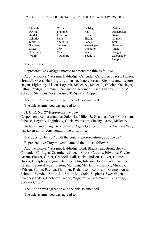| Miranda         | O'Brien        | Oelslager  | Patton       |
|-----------------|----------------|------------|--------------|
| Pavliga         | Plummer        | Ray        | Richardson   |
| Riedel          | Robinson       | Roemer     | Russo        |
| Schmidt         | Seitz          | Sheehy     | Skindell     |
| Smith, K.       | Smith, M.      | Sobecki    | <b>Stein</b> |
| <b>Stephens</b> | <b>Stewart</b> | Swearingen | Sweeney      |
| <b>Sykes</b>    | Troy           | Upchurch   | Vitale       |
| Weinstein       | West           | White      | Wiggam       |
| Wilkin          | Young, B.      | Young, T.  | Zeltwanger   |
|                 |                |            | $C$ unn-93   |

The bill passed.

Representative Carfagna moved to amend the title as follows:

Add the names: "Abrams, Baldridge, Callender, Carruthers, Cross, Fraizer, Grendell, Gross, Hall, Ingram, Johnson, Jones, Jordan, Kick, Leland, Lepore-Hagan, Lightbody, Liston, Loychik, Miller, A., Miller, J., O'Brien, Oelslager, Patton, Pavliga, Plummer, Richardson, Roemer, Russo, Sheehy, Smith, M., Sobecki, Stephens, West, Young, T., Speaker Cupp."

The motion was agreed to and the title so amended.

The title as amended was agreed to.

**H. C. R. No. 27**-Representative Troy.

Cosponsors: Representatives Galonski, Miller, J., Ghanbari, West, Crossman, Sobecki, Loychik, Lightbody, Click, Weinstein, Sheehy, Gross, Miller, A.

To honor and recognize victims of Agent Orange during the Vietnam War, was taken up for consideration the third time.

The question being, "Shall the concurrent resolution be adopted?"

Representative Troy moved to amend the title as follows:

Add the names: "Abrams, Baldridge, Bird, Blackshear, Brent, Brown, Callender, Carfagna, Carruthers, Creech, Cross, Cutrona, Edwards, Fowler Arthur, Fraizer, Ginter, Grendell, Hall, Hicks-Hudson, Hillyer, Holmes, Hoops, Humphrey, Ingram, Jarrells, John, Johnson, Jones, Kick, Koehler, Leland, Lepore-Hagan, Liston, Manning, McClain, Miller, K., Miranda, O'Brien, Patton, Pavliga, Plummer, Richardson, Robinson, Roemer, Russo, Schmidt, Skindell, Smith, K., Smith, M., Stein, Stephens, Swearingen, Sweeney, Sykes, Upchurch, White, Wiggam, Wilkin, Young, B., Young, T., Speaker Cupp."

The motion was agreed to and the title so amended.

The title as amended was agreed to.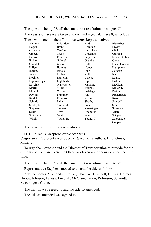The question being, "Shall the concurrent resolution be adopted?" The yeas and nays were taken and resulted – yeas 93, nays 0, as follows:

|                 |                | Those who voted in the affirmative were: Representatives |               |
|-----------------|----------------|----------------------------------------------------------|---------------|
| Abrams          | Baldridge      | Bird                                                     | Blackshear    |
| <b>Boggs</b>    | <b>Brent</b>   | <b>Brinkman</b>                                          | <b>Brown</b>  |
| Callender       | Carfagna       | Carruthers                                               | Click         |
| Creech          | Cross          | Crossman                                                 | Cutrona       |
| Denson          | Edwards        | Ferguson                                                 | Fowler Arthur |
| Fraizer         | Galonski       | Ghanbari                                                 | Ginter        |
| Grendell        | Gross          | Hall                                                     | Hicks-Hudson  |
| Hillyer         | Holmes         | Hoops                                                    | Humphrey      |
| Ingram          | Jarrells       | John                                                     | Johnson       |
| Jones           | Jordan         | Kelly                                                    | Kick          |
| Koehler         | Lampton        | Lanese                                                   | Leland        |
| Lepore-Hagan    | Lightbody      | Lipps                                                    | Liston        |
| Loychik         | Manchester     | Manning                                                  | McClain       |
| Merrin          | Miller, A.     | Miller, J.                                               | Miller, K.    |
| Miranda         | O'Brien        | Oelslager                                                | Patton        |
| Pavliga         | Plummer        | Ray                                                      | Richardson    |
| Riedel          | Robinson       | Roemer                                                   | Russo         |
| Schmidt         | Seitz          | Sheehy                                                   | Skindell      |
| Smith, K.       | Smith, M.      | Sobecki                                                  | Stein         |
| <b>Stephens</b> | <b>Stewart</b> | Swearingen                                               | Sweeney       |
| Sykes           | Troy           | Upchurch                                                 | Vitale        |
| Weinstein       | West           | White                                                    | Wiggam        |
| Wilkin          | Young, B.      | Young, T.                                                | Zeltwanger    |
|                 |                |                                                          | $Cupp-93$     |

The concurrent resolution was adopted.

**H. C. R. No. 31**-Representative Stephens.

Cosponsors: Representatives Sobecki, Sheehy, Carruthers, Bird, Gross, Miller, J.

To urge the Governor and the Director of Transportation to provide for the extension of I-73 and I-74 into Ohio, was taken up for consideration the third time.

The question being, "Shall the concurrent resolution be adopted?"

Representative Stephens moved to amend the title as follows:

Add the names: "Callender, Fraizer, Ghanbari, Grendell, Hillyer, Holmes, Hoops, Johnson, Lanese, Loychik, McClain, Patton, Robinson, Schmidt, Swearingen, Young, T."

The motion was agreed to and the title so amended.

The title as amended was agreed to.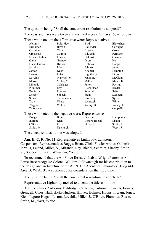Those who voted in the affirmative were: Representatives

The question being, "Shall the concurrent resolution be adopted?" The yeas and nays were taken and resulted – yeas 78, nays 15, as follows:

|                                                       | $minimize: v \rightarrow v$ |              |                   |  |  |
|-------------------------------------------------------|-----------------------------|--------------|-------------------|--|--|
| Abrams                                                | Baldridge                   | <b>Bird</b>  | <b>Blackshear</b> |  |  |
| <b>Brinkman</b>                                       | <b>Brown</b>                | Callender    | Carfagna          |  |  |
| Carruthers                                            | Click                       | Creech       | Cross             |  |  |
| Crossman                                              | Cutrona                     | Edwards      | Ferguson          |  |  |
| Fowler Arthur                                         | Fraizer                     | Galonski     | Ghanbari          |  |  |
| Ginter                                                | Grendell                    | Gross        | Hall              |  |  |
| Hicks-Hudson                                          | Hillyer                     | Holmes       | Hoops             |  |  |
| Jarrells                                              | John                        | Johnson      | Jones             |  |  |
| Jordan                                                | Kelly                       | Koehler      | Lampton           |  |  |
| Lanese                                                | Leland                      | Lightbody    | Lipps             |  |  |
| Loychik                                               | Manchester                  | Manning      | McClain           |  |  |
| Merrin                                                | Miller, A.                  | Miller, J.   | Miller, K.        |  |  |
| Miranda                                               | Oelslager                   | Patton       | Pavliga           |  |  |
| Plummer                                               | Ray                         | Richardson   | Riedel            |  |  |
| Robinson                                              | Roemer                      | Schmidt      | Seitz             |  |  |
| Sheehy                                                | Sobecki                     | Stein        | Stephens          |  |  |
| Stewart                                               | Swearingen                  | Sweeney      | Sykes             |  |  |
| Troy                                                  | Vitale                      | Weinstein    | White             |  |  |
| Wiggam                                                | Wilkin                      | Young, B.    | Young, T.         |  |  |
| Zeltwanger                                            |                             |              | $Cupp-78$         |  |  |
| Those who voted in the negative were: Representatives |                             |              |                   |  |  |
| <b>Boggs</b>                                          | <b>Brent</b>                | Denson       | Humphrey          |  |  |
| Ingram                                                | Kick                        | Lepore-Hagan | Liston            |  |  |
| O'Brien                                               | Russo                       | Skindell     | Smith, K.         |  |  |
| Smith, M.                                             | Upchurch                    |              | West-15           |  |  |
|                                                       |                             |              |                   |  |  |

The concurrent resolution was adopted.

**Am. H. C. R. No. 32**-Representatives Lightbody, Lampton. Cosponsors: Representatives Boggs, Brent, Click, Fowler Arthur, Galonski, Jarrells, Leland, Miller, A., Miranda, Ray, Riedel, Schmidt, Sheehy, Smith, K., Sobecki, Stewart, Weinstein, Young, T.

To recommend that the Air Force Research Lab at Wright Patterson Air Force Base recognize Colonel William J. Cavanaugh for his contribution to the design and architecture of the AFRL Bio Acoustics Laboratory (Bldg 441; Area B; WPAFB), was taken up for consideration the third time.

The question being, "Shall the concurrent resolution be adopted?"

Representative Lightbody moved to amend the title as follows:

Add the names: "Abrams, Baldridge, Carfagna, Cutrona, Edwards, Fraizer, Grendell, Gross, Hall, Hicks-Hudson, Hillyer, Holmes, Hoops, Ingram, Jones, Kick, Lepore-Hagan, Liston, Loychik, Miller, J., O'Brien, Plummer, Russo, Smith, M., West, White."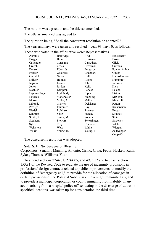The motion was agreed to and the title so amended.

The title as amended was agreed to.

The question being, "Shall the concurrent resolution be adopted?" The yeas and nays were taken and resulted – yeas 93, nays 0, as follows:

Those who voted in the affirmative were: Representatives

| Abrams       | Baldridge  | Bird            | Blackshear    |
|--------------|------------|-----------------|---------------|
| <b>Boggs</b> | Brent      | <b>Brinkman</b> | <b>Brown</b>  |
| Callender    | Carfagna   | Carruthers      | Click         |
| Creech       | Cross      | Crossman        | Cutrona       |
| Denson       | Edwards    | Ferguson        | Fowler Arthur |
| Fraizer      | Galonski   | Ghanbari        | Ginter        |
| Grendell     | Gross      | Hall            | Hicks-Hudson  |
| Hillyer      | Holmes     | Hoops           | Humphrey      |
| Ingram       | Jarrells   | John            | Johnson       |
| Jones        | Jordan     | Kelly           | Kick          |
| Koehler      | Lampton    | Lanese          | Leland        |
| Lepore-Hagan | Lightbody  | Lipps           | Liston        |
| Loychik      | Manchester | Manning         | McClain       |
| Merrin       | Miller, A. | Miller, J.      | Miller, K.    |
| Miranda      | O'Brien    | Oelslager       | Patton        |
| Pavliga      | Plummer    | Ray             | Richardson    |
| Riedel       | Robinson   | Roemer          | Russo         |
| Schmidt      | Seitz      | Sheehy          | Skindell      |
| Smith, K.    | Smith, M.  | Sobecki         | Stein         |
| Stephens     | Stewart    | Swearingen      | Sweeney       |
| Sykes        | Troy       | Upchurch        | Vitale        |
| Weinstein    | West       | White           | Wiggam        |
| Wilkin       | Young, B.  | Young, T.       | Zeltwanger    |
|              |            |                 | $C$ upp-93    |

The concurrent resolution was adopted.

#### **Sub. S. B. No. 56**-Senator Blessing.

Cosponsors: Senators Manning, Antonio, Cirino, Craig, Fedor, Hackett, Rulli, Sykes, Thomas, Williams, Yuko.

To amend sections 2744.01, 2744.05, and 4973.17 and to enact section 153.81 of the Revised Code to regulate the use of indemnity provisions in professional design contracts related to public improvements, to modify the definition of "emergency call," to provide for the allocation of damages in certain provisions of the Political Subdivision Sovereign Immunity Law, and to provide a municipal corporation or county immunity from liability in any action arising from a hospital police officer acting in the discharge of duties in specified locations, was taken up for consideration the third time.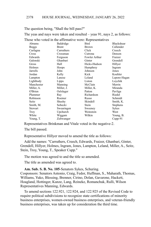The question being, "Shall the bill pass?"

The yeas and nays were taken and resulted – yeas 91, nays 2, as follows:

Those who voted in the affirmative were: Representatives

| Abrams     | Baldridge    | Bird          | Blackshear      |
|------------|--------------|---------------|-----------------|
| Boggs      | <b>Brent</b> | <b>Brown</b>  | Callender       |
| Carfagna   | Carruthers   | Click         | Creech          |
| Cross      | Crossman     | Cutrona       | Denson          |
| Edwards    | Ferguson     | Fowler Arthur | Fraizer         |
| Galonski   | Ghanbari     | Ginter        | Grendell        |
| Gross      | Hall         | Hicks-Hudson  | Hillyer         |
| Holmes     | Hoops        | Humphrey      | Ingram          |
| Jarrells   | John         | Johnson       | Jones           |
| Jordan     | Kelly        | Kick          | Koehler         |
| Lampton    | Lanese       | Leland        | Lepore-Hagan    |
| Lightbody  | Lipps        | Liston        | Loychik         |
| Manchester | Manning      | McClain       | Merrin          |
| Miller, A. | Miller, J.   | Miller, K.    | Miranda         |
| O'Brien    | Oelslager    | Patton        | Pavliga         |
| Plummer    | Ray          | Richardson    | Riedel          |
| Robinson   | Roemer       | Russo         | Schmidt         |
| Seitz      | Sheehy       | Skindell      | Smith, K.       |
| Smith, M.  | Sobecki      | Stein         | <b>Stephens</b> |
| Stewart    | Swearingen   | Sweeney       | Sykes           |
| Troy       | Upchurch     | Weinstein     | West            |
| White      | Wiggam       | Wilkin        | Young, B.       |
| Young, T.  | Zeltwanger   |               | $Cupp-91$       |

Representatives Brinkman and Vitale voted in the negative-2.

The bill passed.

Representative Hillyer moved to amend the title as follows:

Add the names: "Carruthers, Creech, Edwards, Fraizer, Ghanbari, Ginter, Grendell, Hillyer, Holmes, Ingram, Jones, Lampton, Leland, Miller, A., Seitz, Stein, Troy, Young, T., Speaker Cupp."

The motion was agreed to and the title so amended.

The title as amended was agreed to.

**Am. Sub. S. B. No. 105**-Senators Sykes, Schuring.

Cosponsors: Senators Antonio, Craig, Fedor, Huffman, S., Maharath, Thomas, Williams, Yuko, Blessing, Brenner, Cirino, Dolan, Gavarone, Hackett, Hoagland, Hottinger, Kunze, Lang, Reineke, Romanchuk, Rulli, Wilson Representatives Manning, Edwards.

To amend sections 122.921, 122.924, and 122.925 of the Revised Code to require political subdivisions to recognize state certifications of minority business enterprises, women-owned business enterprises, and veteran-friendly business enterprises, was taken up for consideration the third time.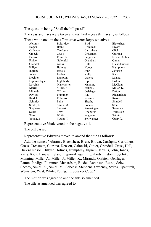The question being, "Shall the bill pass?"

The yeas and nays were taken and resulted – yeas 92, nays 1, as follows:

Those who voted in the affirmative were: Representatives

| Abrams       | Baldridge  | Bird            | Blackshear    |
|--------------|------------|-----------------|---------------|
| <b>Boggs</b> | Brent      | <b>Brinkman</b> | <b>Brown</b>  |
| Callender    | Carfagna   | Carruthers      | Click         |
| Creech       | Cross      | Crossman        | Cutrona       |
| Denson       | Edwards    | Ferguson        | Fowler Arthur |
| Fraizer      | Galonski   | Ghanbari        | Ginter        |
| Grendell     | Gross      | Hall            | Hicks-Hudson  |
| Hillyer      | Holmes     | Hoops           | Humphrey      |
| Ingram       | Jarrells   | John            | Johnson       |
| Jones        | Jordan     | Kelly           | Kick          |
| Koehler      | Lampton    | Lanese          | Leland        |
| Lepore-Hagan | Lightbody  | Lipps           | Liston        |
| Loychik      | Manchester | Manning         | McClain       |
| Merrin       | Miller, A. | Miller, J.      | Miller, K.    |
| Miranda      | O'Brien    | Oelslager       | Patton        |
| Pavliga      | Plummer    | Ray             | Richardson    |
| Riedel       | Robinson   | Roemer          | Russo         |
| Schmidt      | Seitz      | Sheehy          | Skindell      |
| Smith, K.    | Smith, M.  | Sobecki         | Stein         |
| Stephens     | Stewart    | Swearingen      | Sweeney       |
| Sykes        | Troy       | Upchurch        | Weinstein     |
| West         | White      | Wiggam          | Wilkin        |
| Young, B.    | Young, T.  | Zeltwanger      | $Cupp-92$     |

Representative Vitale voted in the negative-1.

The bill passed.

Representative Edwards moved to amend the title as follows:

Add the names: "Abrams, Blackshear, Brent, Brown, Carfagna, Carruthers, Cross, Crossman, Cutrona, Denson, Galonski, Ginter, Grendell, Gross, Hall, Hicks-Hudson, Hillyer, Holmes, Humphrey, Ingram, Jarrells, John, Jones, Kelly, Kick, Lanese, Leland, Lepore-Hagan, Lightbody, Liston, Loychik, Manning, Miller, A., Miller, J., Miller, K., Miranda, O'Brien, Oelslager, Patton, Pavliga, Plummer, Richardson, Riedel, Robinson, Russo, Seitz, Sheehy, Smith, K., Smith, M., Sobecki, Stephens, Sweeney, Sykes, Upchurch, Weinstein, West, White, Young, T., Speaker Cupp."

The motion was agreed to and the title so amended.

The title as amended was agreed to.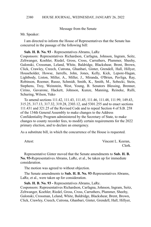## Message from the Senate

Mr. Speaker:

I am directed to inform the House of Representatives that the Senate has concurred in the passage of the following bill:

#### **Sub. H. B. No. 93** - Representatives Abrams, LaRe

Cosponsors: Representatives Richardson, Carfagna, Johnson, Ingram, Seitz, Zeltwanger, Koehler, Riedel, Gross, Cross, Carruthers, Plummer, Sheehy, Galonski, Crossman, Leland, White, Baldridge, Blackshear, Brent, Brown, Click, Crawley, Creech, Cutrona, Ghanbari, Ginter, Grendell, Hall, Hillyer, Householder, Howse, Jarrells, John, Jones, Kelly, Kick, Lepore-Hagan, Lightbody, Liston, Miller, A., Miller, J., Miranda, O'Brien, Pavliga, Ray, Robinson, Roemer, Russo, Schmidt, Smith, K., Smith, M., Sobecki, Stein, Stephens, Troy, Weinstein, West, Young, B. Senators Blessing, Brenner, Cirino, Gavarone, Hackett, Johnson, Kunze, Manning, Reineke, Rulli, Schuring, Wilson, Yuko

To amend sections 111.42, 111.43, 111.45, 111.46, 111.48, 111.99, 149.43, 315.25, 317.13, 317.32, 319.28, 2303.12, and 5301.255 and to enact sections 111.431 and 321.25 of the Revised Code and to repeal Section 4 of S.B. 258 of the 134th General Assembly to make changes to the Address Confidentiality Program administered by the Secretary of State, to make changes to county recorder fees, to modify certain requirements for the 2022 primary election, and to declare an emergency.

As a substitute bill, in which the concurrence of the House is requested.

Attest: Vincent L. Keeran, Clerk.

Representative Ginter moved that the Senate amendments to **Sub. H. B. No. 93-**Representatives Abrams, LaRe, et al., be taken up for immediate consideration.

The motion was agreed to without objection.

The Senate amendments to **Sub. H. B. No. 93**-Representatives Abrams, LaRe, et al., were taken up for consideration.

**Sub. H. B. No. 93 -** Representatives Abrams, LaRe.

Cosponsors: Representatives Richardson, Carfagna, Johnson, Ingram, Seitz, Zeltwanger, Koehler, Riedel, Gross, Cross, Carruthers, Plummer, Sheehy, Galonski, Crossman, Leland, White, Baldridge, Blackshear, Brent, Brown, Click, Crawley, Creech, Cutrona, Ghanbari, Ginter, Grendell, Hall, Hillyer,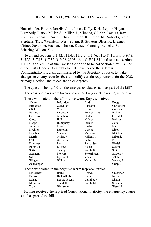Householder, Howse, Jarrells, John, Jones, Kelly, Kick, Lepore-Hagan, Lightbody, Liston, Miller, A., Miller, J., Miranda, O'Brien, Pavliga, Ray, Robinson, Roemer, Russo, Schmidt, Smith, K., Smith, M., Sobecki, Stein, Stephens, Troy, Weinstein, West, Young, B. Senators Blessing, Brenner, Cirino, Gavarone, Hackett, Johnson, Kunze, Manning, Reineke, Rulli, Schuring, Wilson, Yuko.

To amend sections 111.42, 111.43, 111.45, 111.46, 111.48, 111.99, 149.43, 315.25, 317.13, 317.32, 319.28, 2303.12, and 5301.255 and to enact sections 111.431 and 321.25 of the Revised Code and to repeal Section 4 of S.B. 258 of the 134th General Assembly to make changes to the Address Confidentiality Program administered by the Secretary of State, to make changes to county recorder fees, to modify certain requirements for the 2022 primary election, and to declare an emergency.

The question being, "Shall the emergency clause stand as part of the bill?" The yeas and nays were taken and resulted – yeas 74, nays 19, as follows: Those who voted in the affirmative were: Representatives

| Abrams          | Baldridge                                             | Bird            | <b>Boggs</b> |
|-----------------|-------------------------------------------------------|-----------------|--------------|
| <b>Brinkman</b> | Callender                                             | Carfagna        | Carruthers   |
| Click           | Creech                                                | Cross           | Cutrona      |
| Edwards         | Ferguson                                              | Fowler Arthur   | Fraizer      |
| Galonski        | Ghanbari                                              | Ginter          | Grendell     |
| Gross           | Hall                                                  | Hillyer         | Holmes       |
| Hoops           | Humphrey                                              | <b>Jarrells</b> | John         |
| Johnson         | Jones                                                 | Jordan          | Kick         |
| Koehler         | Lampton                                               | Lanese          | Lipps        |
| Loychik         | Manchester                                            | Manning         | McClain      |
| Merrin          | Miller, J.                                            | Miller, K.      | Miranda      |
| O'Brien         | Oelslager                                             | Patton          | Pavliga      |
| Plummer         | Ray                                                   | Richardson      | Riedel       |
| Robinson        | Roemer                                                | Russo           | Schmidt      |
| Seitz           | Sheehy                                                | Smith, K.       | Stein        |
| Stephens        | Stewart                                               | Swearingen      | Sweeney      |
| Sykes           | Upchurch                                              | Vitale          | White        |
| Wiggam          | Wilkin                                                | Young, B.       | Young, T.    |
| Zeltwanger      |                                                       |                 | $Cupp-74$    |
|                 | Those who voted in the negative were: Representatives |                 |              |
| Blackshear      | <b>Brent</b>                                          | <b>Brown</b>    | Crossman     |
| Denson          | Hicks-Hudson                                          | Ingram          | Kelly        |
| Leland          | Lepore-Hagan                                          | Lightbody       | Liston       |
| Miller, A.      | Skindell                                              | Smith, M.       | Sobecki      |
| Troy            | Weinstein                                             |                 | West-19      |

Having received the required Constitutional majority, the emergency clause stood as part of the bill.